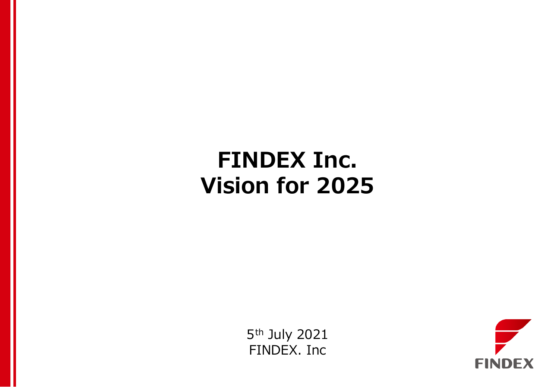# **FINDEX Inc. Vision for 2025**

5th July 2021 FINDEX. Inc

2021 FINDEX Inc.

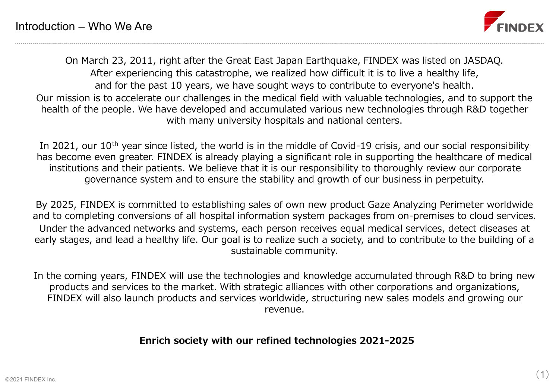

On March 23, 2011, right after the Great East Japan Earthquake, FINDEX was listed on JASDAQ. After experiencing this catastrophe, we realized how difficult it is to live a healthy life, and for the past 10 years, we have sought ways to contribute to everyone's health. Our mission is to accelerate our challenges in the medical field with valuable technologies, and to support the health of the people. We have developed and accumulated various new technologies through R&D together with many university hospitals and national centers.

In 2021, our 10<sup>th</sup> year since listed, the world is in the middle of Covid-19 crisis, and our social responsibility has become even greater. FINDEX is already playing a significant role in supporting the healthcare of medical institutions and their patients. We believe that it is our responsibility to thoroughly review our corporate governance system and to ensure the stability and growth of our business in perpetuity.

By 2025, FINDEX is committed to establishing sales of own new product Gaze Analyzing Perimeter worldwide and to completing conversions of all hospital information system packages from on-premises to cloud services. Under the advanced networks and systems, each person receives equal medical services, detect diseases at early stages, and lead a healthy life. Our goal is to realize such a society, and to contribute to the building of a sustainable community.

In the coming years, FINDEX will use the technologies and knowledge accumulated through R&D to bring new products and services to the market. With strategic alliances with other corporations and organizations, FINDEX will also launch products and services worldwide, structuring new sales models and growing our revenue.

**Enrich society with our refined technologies 2021-2025**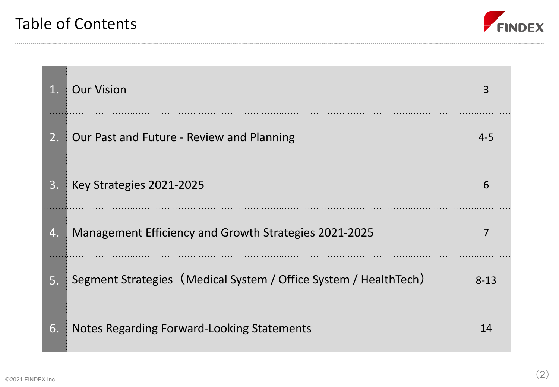

| 1. | <b>Our Vision</b>                                                |          |
|----|------------------------------------------------------------------|----------|
| 2. | Our Past and Future - Review and Planning                        | $4 - 5$  |
| 3. | Key Strategies 2021-2025                                         | 6        |
| 4. | Management Efficiency and Growth Strategies 2021-2025            |          |
| 5. | Segment Strategies (Medical System / Office System / HealthTech) | $8 - 13$ |
| 6. | Notes Regarding Forward-Looking Statements                       | 14       |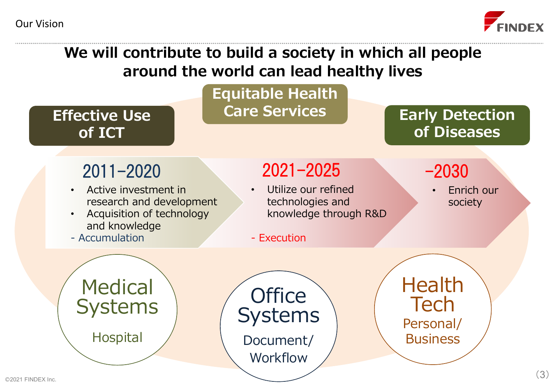Our Vision



# **We will contribute to build a society in which all people around the world can lead healthy lives**



2021 FINDEX Inc.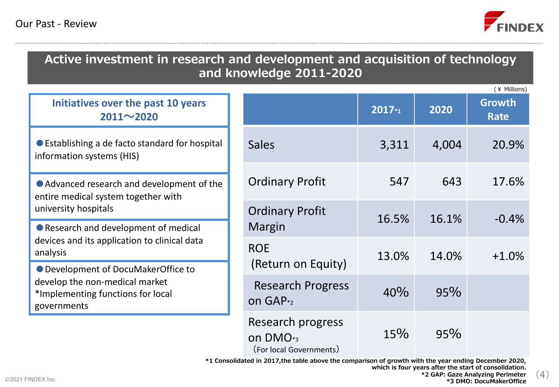

# **Active investment in research and development and acquisition of technology and knowledge 2011-2020**

**<sup>2017</sup>\*1 <sup>2020</sup> Growth Rate** Sales 3,311 4,004 20.9% Ordinary Profit 547 643 17.6% Ordinary Profit Margin 16.5% 16.1% -0.4% ROE  $($ Return on Equity)  $13.0\%$  14.0% +1.0% Research Progress on GAP\*2 40% 95% Research progress  $15\%$  95% **Initiatives over the past 10 years 2011~2020** ● Establishing a de facto standard for hospital information systems (HIS) ● Advanced research and development of the entire medical system together with university hospitals ● Research and development of medical devices and its application to clinical data analysis ● Development of DocuMakerOffice to develop the non-medical market \*Implementing functions for local governments (¥ Millions)

on DMO\*3

(For local Governments)

**\*1 Consolidated in 2017,the table above the comparison of growth with the year ending December 2020,**

**which is four years after the start of consolidation.**

(4)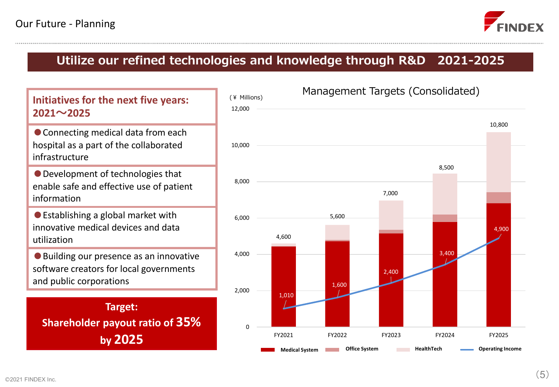

# **Utilize our refined technologies and knowledge through R&D 2021-2025**





#### 2021 FINDEX Inc.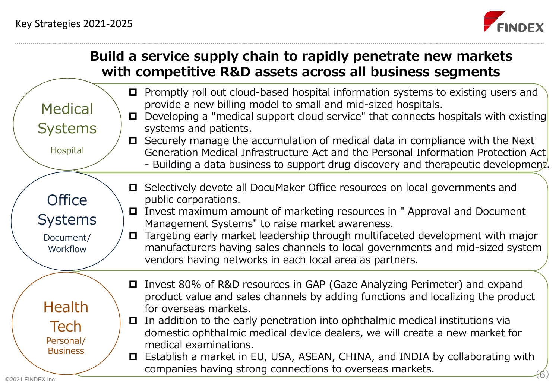

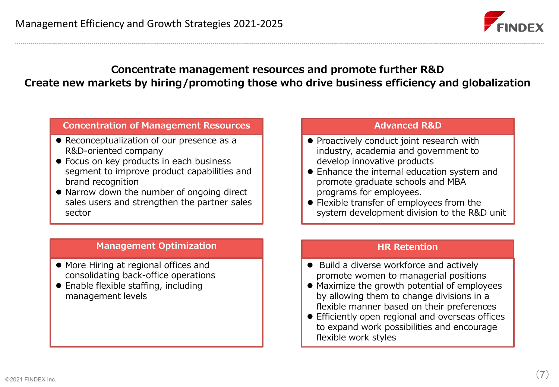

## **Concentrate management resources and promote further R&D Create new markets by hiring/promoting those who drive business efficiency and globalization**

#### **Concentration of Management Resources**

- Reconceptualization of our presence as a R&D-oriented company
- ⚫ Focus on key products in each business segment to improve product capabilities and brand recognition
- Narrow down the number of ongoing direct sales users and strengthen the partner sales sector

#### **Advanced R&D**

- ⚫ Proactively conduct joint research with industry, academia and government to develop innovative products
- ⚫ Enhance the internal education system and promote graduate schools and MBA programs for employees.
- ⚫ Flexible transfer of employees from the system development division to the R&D unit

#### **Management Optimization**

- ⚫ More Hiring at regional offices and consolidating back-office operations
- ⚫ Enable flexible staffing, including management levels

#### **HR Retention**

- Build a diverse workforce and actively promote women to managerial positions
- ⚫ Maximize the growth potential of employees by allowing them to change divisions in a flexible manner based on their preferences
- ⚫ Efficiently open regional and overseas offices to expand work possibilities and encourage flexible work styles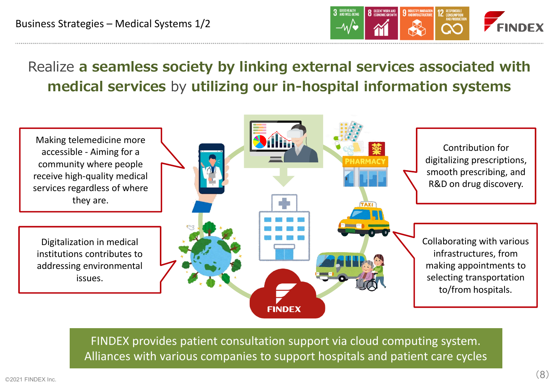

Realize **a seamless society by linking external services associated with medical services** by **utilizing our in-hospital information systems**



FINDEX provides patient consultation support via cloud computing system. Alliances with various companies to support hospitals and patient care cycles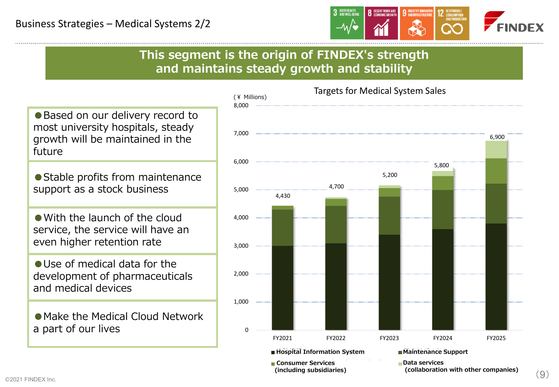

**This segment is the origin of FINDEX's strength and maintains steady growth and stability**

● Based on our delivery record to most university hospitals, steady growth will be maintained in the future

● Stable profits from maintenance support as a stock business

●With the launch of the cloud service, the service will have an even higher retention rate

●Use of medical data for the development of pharmaceuticals and medical devices

●Make the Medical Cloud Network a part of our lives

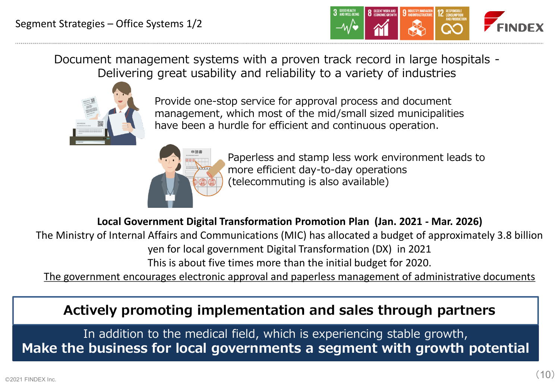

Document management systems with a proven track record in large hospitals - Delivering great usability and reliability to a variety of industries



Provide one-stop service for approval process and document management, which most of the mid/small sized municipalities have been a hurdle for efficient and continuous operation.



Paperless and stamp less work environment leads to more efficient day-to-day operations (telecommuting is also available)

**Local Government Digital Transformation Promotion Plan (Jan. 2021 - Mar. 2026)**

The Ministry of Internal Affairs and Communications (MIC) has allocated a budget of approximately 3.8 billion yen for local government Digital Transformation (DX) in 2021

This is about five times more than the initial budget for 2020.

The government encourages electronic approval and paperless management of administrative documents

**Actively promoting implementation and sales through partners**

In addition to the medical field, which is experiencing stable growth, **Make the business for local governments a segment with growth potential**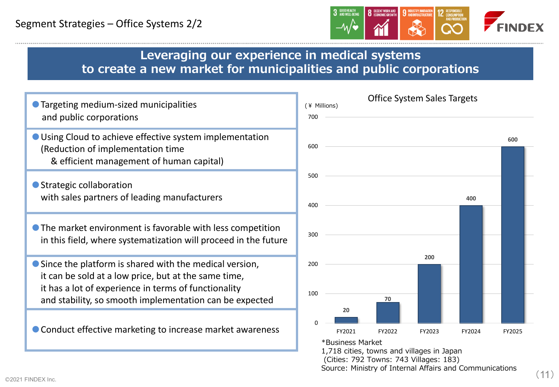

## **Leveraging our experience in medical systems to create a new market for municipalities and public corporations**





Source: Ministry of Internal Affairs and Communications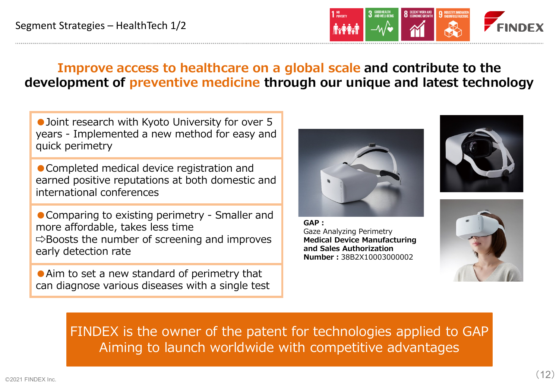

# **Improve access to healthcare on a global scale and contribute to the development of preventive medicine through our unique and latest technology**

● Joint research with Kyoto University for over 5 years - Implemented a new method for easy and quick perimetry

● Completed medical device registration and earned positive reputations at both domestic and international conferences

● Comparing to existing perimetry - Smaller and more affordable, takes less time  $\Rightarrow$  Boosts the number of screening and improves early detection rate

● Aim to set a new standard of perimetry that can diagnose various diseases with a single test



**GAP:** Gaze Analyzing Perimetry **Medical Device Manufacturing and Sales Authorization Number:**38B2X10003000002





FINDEX is the owner of the patent for technologies applied to GAP Aiming to launch worldwide with competitive advantages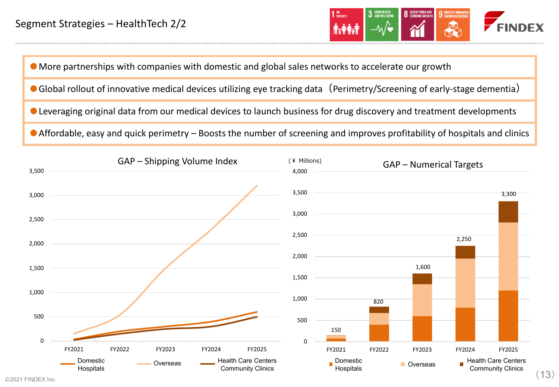

#### ●More partnerships with companies with domestic and global sales networks to accelerate our growth

- Global rollout of innovative medical devices utilizing eye tracking data (Perimetry/Screening of early-stage dementia)
- Leveraging original data from our medical devices to launch business for drug discovery and treatment developments

● Affordable, easy and quick perimetry – Boosts the number of screening and improves profitability of hospitals and clinics

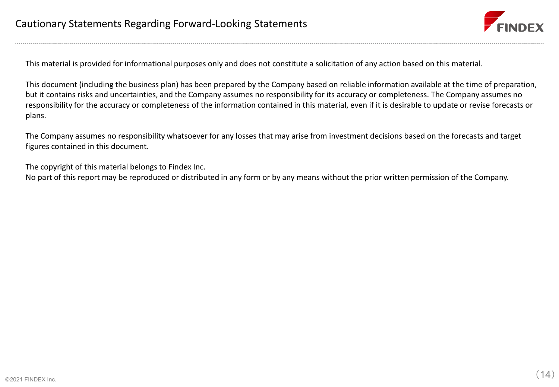

This material is provided for informational purposes only and does not constitute a solicitation of any action based on this material.

This document (including the business plan) has been prepared by the Company based on reliable information available at the time of preparation, but it contains risks and uncertainties, and the Company assumes no responsibility for its accuracy or completeness. The Company assumes no responsibility for the accuracy or completeness of the information contained in this material, even if it is desirable to update or revise forecasts or plans.

The Company assumes no responsibility whatsoever for any losses that may arise from investment decisions based on the forecasts and target figures contained in this document.

The copyright of this material belongs to Findex Inc.

No part of this report may be reproduced or distributed in any form or by any means without the prior written permission of the Company.